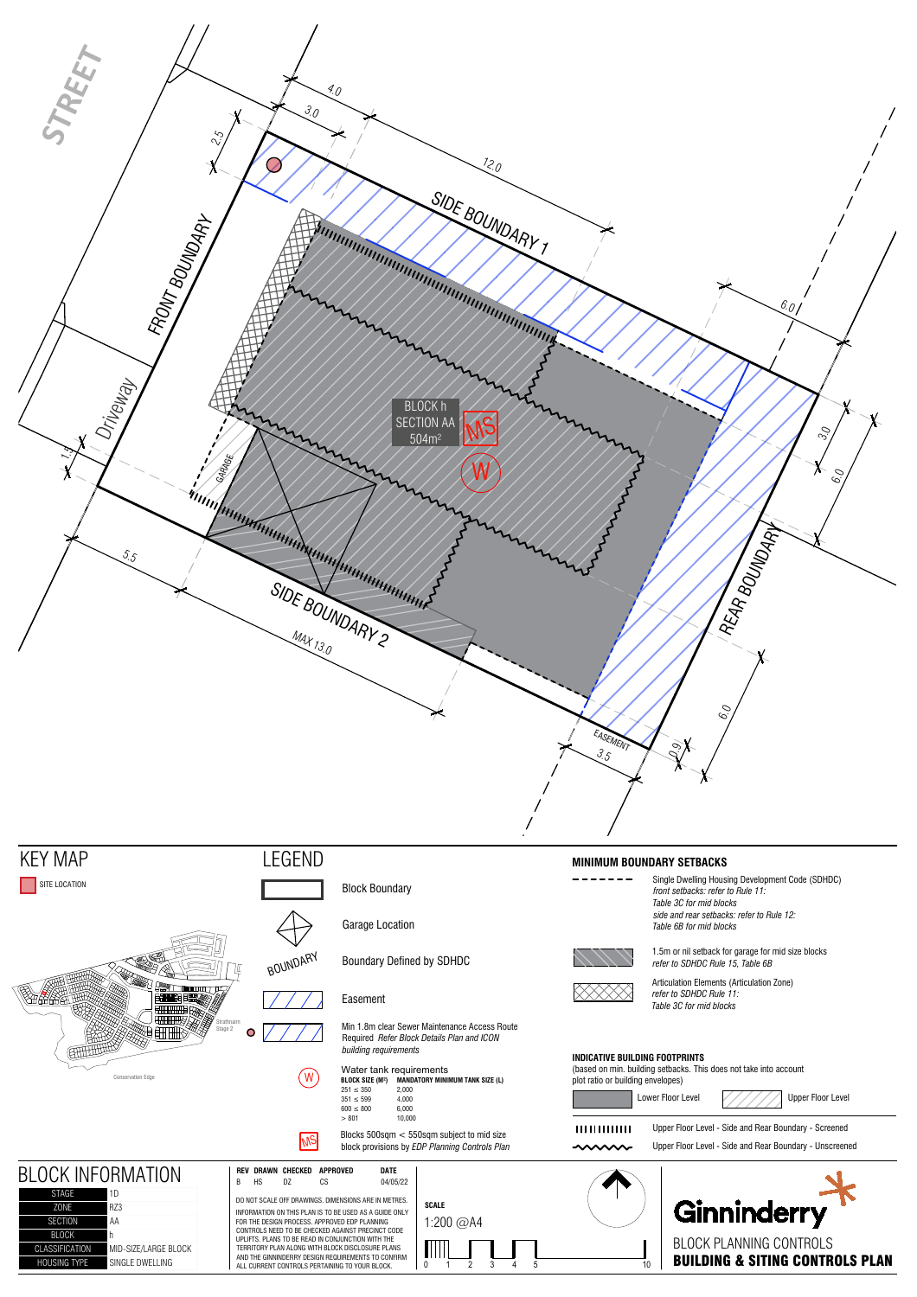